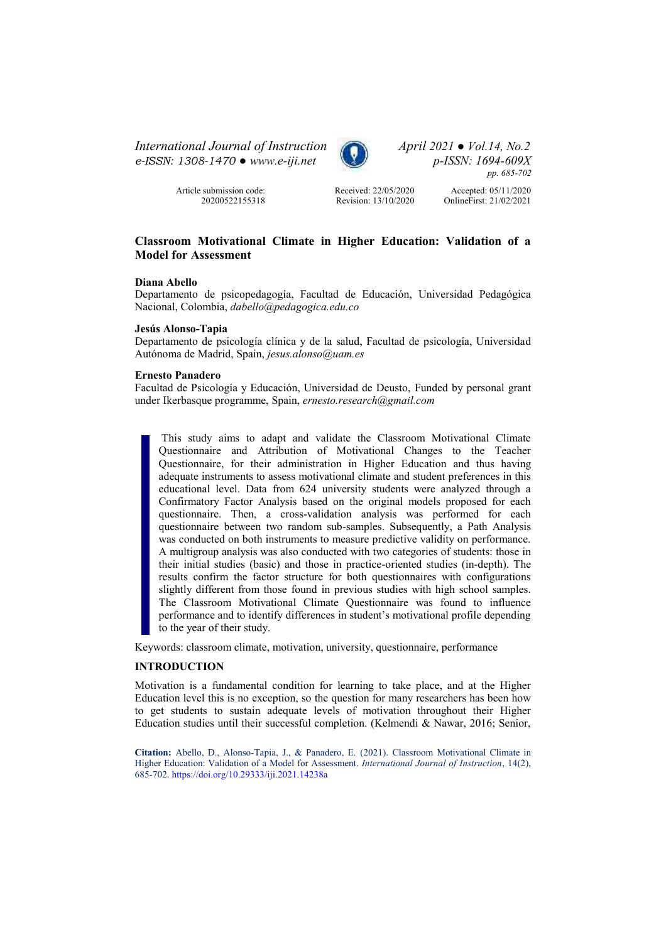*International Journal of Instruction April 2021 ● Vol.14, No.2 e-ISSN: 1308-1470 ● [www.e-iji.net](http://www.e-iji.net/) p-ISSN: 1694-609X* 



*pp. 685-702*

Article submission code: 20200522155318 Received: 22/05/2020 Revision: 13/10/2020

Accepted: 05/11/2020 OnlineFirst: 21/02/2021

# **Classroom Motivational Climate in Higher Education: Validation of a Model for Assessment**

#### **Diana Abello**

Departamento de psicopedagogía, Facultad de Educación, Universidad Pedagógica Nacional, Colombia, *[dabello@pedagogica.edu.co](mailto:dabello@pedagogica.edu.co)* 

#### **Jesús Alonso-Tapia**

Departamento de psicología clínica y de la salud, Facultad de psicología, Universidad Autónoma de Madrid, Spain, *[jesus.alonso@uam.es](mailto:jesus.alonso@uam.es)* 

#### **Ernesto Panadero**

Facultad de Psicología y Educación, Universidad de Deusto, Funded by personal grant under Ikerbasque programme, Spain, *[ernesto.research@gmail.com](mailto:ernesto.research@gmail.com)*

 This study aims to adapt and validate the Classroom Motivational Climate Questionnaire and Attribution of Motivational Changes to the Teacher Questionnaire, for their administration in Higher Education and thus having adequate instruments to assess motivational climate and student preferences in this educational level. Data from 624 university students were analyzed through a Confirmatory Factor Analysis based on the original models proposed for each questionnaire. Then, a cross-validation analysis was performed for each questionnaire between two random sub-samples. Subsequently, a Path Analysis was conducted on both instruments to measure predictive validity on performance. A multigroup analysis was also conducted with two categories of students: those in their initial studies (basic) and those in practice-oriented studies (in-depth). The results confirm the factor structure for both questionnaires with configurations slightly different from those found in previous studies with high school samples. The Classroom Motivational Climate Questionnaire was found to influence performance and to identify differences in student's motivational profile depending to the year of their study.

Keywords: classroom climate, motivation, university, questionnaire, performance

### **INTRODUCTION**

Motivation is a fundamental condition for learning to take place, and at the Higher Education level this is no exception, so the question for many researchers has been how to get students to sustain adequate levels of motivation throughout their Higher Education studies until their successful completion. (Kelmendi & Nawar, 2016; Senior,

**Citation:** Abello, D., Alonso-Tapia, J., & Panadero, E. (2021). Classroom Motivational Climate in Higher Education: Validation of a Model for Assessment. *International Journal of Instruction*, 14(2), 685-702[. https://doi.org/10.29333/iji.2021.14238a](https://doi.org/10.29333/iji.2021.14238a)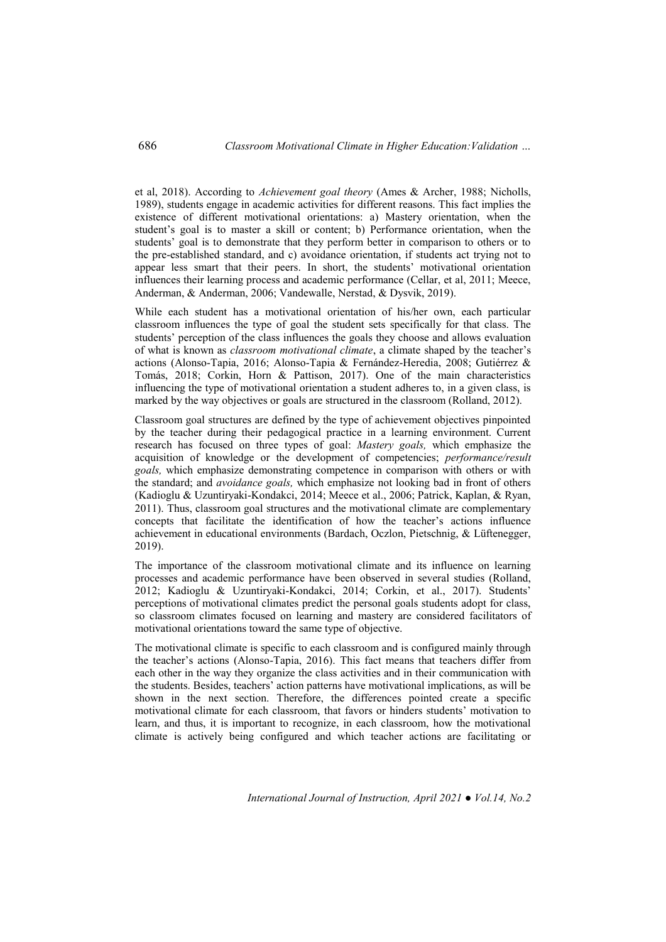et al, 2018). According to *Achievement goal theory* (Ames & Archer, 1988; Nicholls, 1989), students engage in academic activities for different reasons. This fact implies the existence of different motivational orientations: a) Mastery orientation, when the student's goal is to master a skill or content; b) Performance orientation, when the students' goal is to demonstrate that they perform better in comparison to others or to the pre-established standard, and c) avoidance orientation, if students act trying not to appear less smart that their peers. In short, the students' motivational orientation influences their learning process and academic performance (Cellar, et al, 2011; Meece, Anderman, & Anderman, 2006; Vandewalle, Nerstad, & Dysvik, 2019).

While each student has a motivational orientation of his/her own, each particular classroom influences the type of goal the student sets specifically for that class. The students' perception of the class influences the goals they choose and allows evaluation of what is known as *classroom motivational climate*, a climate shaped by the teacher's actions (Alonso-Tapia, 2016; Alonso-Tapia & Fernández-Heredia, 2008; Gutiérrez & Tomás, 2018; Corkin, Horn & Pattison, 2017). One of the main characteristics influencing the type of motivational orientation a student adheres to, in a given class, is marked by the way objectives or goals are structured in the classroom (Rolland, 2012).

Classroom goal structures are defined by the type of achievement objectives pinpointed by the teacher during their pedagogical practice in a learning environment. Current research has focused on three types of goal: *Mastery goals,* which emphasize the acquisition of knowledge or the development of competencies; *performance/result goals,* which emphasize demonstrating competence in comparison with others or with the standard; and *avoidance goals,* which emphasize not looking bad in front of others (Kadioglu & Uzuntiryaki-Kondakci, 2014; Meece et al., 2006; Patrick, Kaplan, & Ryan, 2011). Thus, classroom goal structures and the motivational climate are complementary concepts that facilitate the identification of how the teacher's actions influence achievement in educational environments (Bardach, Oczlon, Pietschnig, & Lüftenegger, 2019).

The importance of the classroom motivational climate and its influence on learning processes and academic performance have been observed in several studies (Rolland, 2012; Kadioglu & Uzuntiryaki-Kondakci, 2014; Corkin, et al., 2017). Students' perceptions of motivational climates predict the personal goals students adopt for class, so classroom climates focused on learning and mastery are considered facilitators of motivational orientations toward the same type of objective.

The motivational climate is specific to each classroom and is configured mainly through the teacher's actions (Alonso-Tapia, 2016). This fact means that teachers differ from each other in the way they organize the class activities and in their communication with the students. Besides, teachers' action patterns have motivational implications, as will be shown in the next section. Therefore, the differences pointed create a specific motivational climate for each classroom, that favors or hinders students' motivation to learn, and thus, it is important to recognize, in each classroom, how the motivational climate is actively being configured and which teacher actions are facilitating or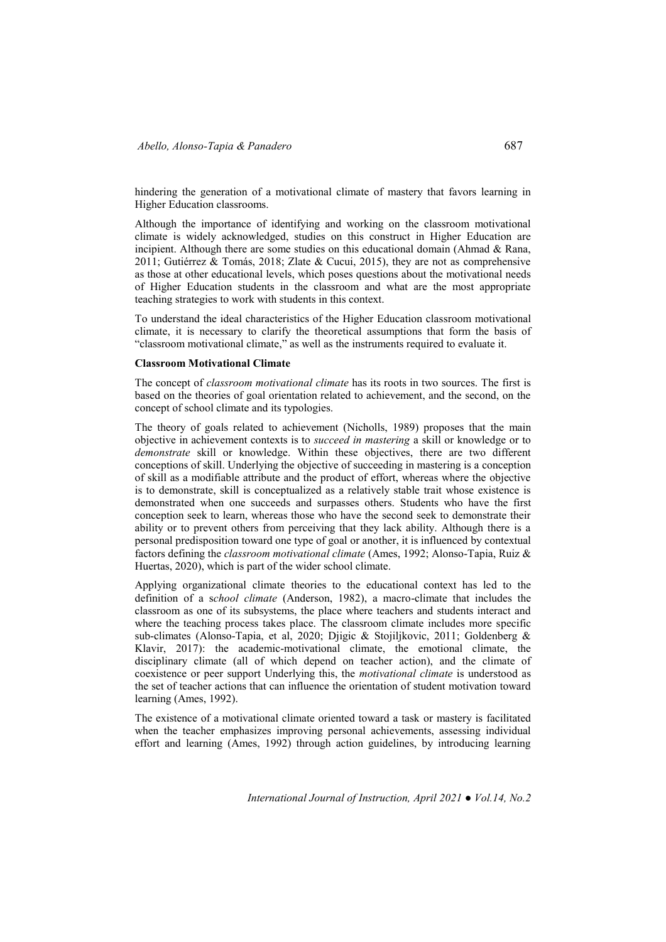hindering the generation of a motivational climate of mastery that favors learning in Higher Education classrooms.

Although the importance of identifying and working on the classroom motivational climate is widely acknowledged, studies on this construct in Higher Education are incipient. Although there are some studies on this educational domain (Ahmad  $\&$  Rana, 2011; Gutiérrez & Tomás, 2018; Zlate & Cucui, 2015), they are not as comprehensive as those at other educational levels, which poses questions about the motivational needs of Higher Education students in the classroom and what are the most appropriate teaching strategies to work with students in this context.

To understand the ideal characteristics of the Higher Education classroom motivational climate, it is necessary to clarify the theoretical assumptions that form the basis of "classroom motivational climate," as well as the instruments required to evaluate it.

#### **Classroom Motivational Climate**

The concept of *classroom motivational climate* has its roots in two sources. The first is based on the theories of goal orientation related to achievement, and the second, on the concept of school climate and its typologies.

The theory of goals related to achievement (Nicholls, 1989) proposes that the main objective in achievement contexts is to *succeed in mastering* a skill or knowledge or to *demonstrate* skill or knowledge. Within these objectives, there are two different conceptions of skill. Underlying the objective of succeeding in mastering is a conception of skill as a modifiable attribute and the product of effort, whereas where the objective is to demonstrate, skill is conceptualized as a relatively stable trait whose existence is demonstrated when one succeeds and surpasses others. Students who have the first conception seek to learn, whereas those who have the second seek to demonstrate their ability or to prevent others from perceiving that they lack ability. Although there is a personal predisposition toward one type of goal or another, it is influenced by contextual factors defining the *classroom motivational climate* (Ames, 1992; Alonso-Tapia, Ruiz & Huertas, 2020), which is part of the wider school climate.

Applying organizational climate theories to the educational context has led to the definition of a s*chool climate* (Anderson, 1982), a macro-climate that includes the classroom as one of its subsystems, the place where teachers and students interact and where the teaching process takes place. The classroom climate includes more specific sub-climates (Alonso-Tapia, et al, 2020; Djigic & Stojiljkovic, 2011; Goldenberg & Klavir, 2017): the academic-motivational climate, the emotional climate, the disciplinary climate (all of which depend on teacher action), and the climate of coexistence or peer support Underlying this, the *motivational climate* is understood as the set of teacher actions that can influence the orientation of student motivation toward learning (Ames, 1992).

The existence of a motivational climate oriented toward a task or mastery is facilitated when the teacher emphasizes improving personal achievements, assessing individual effort and learning (Ames, 1992) through action guidelines, by introducing learning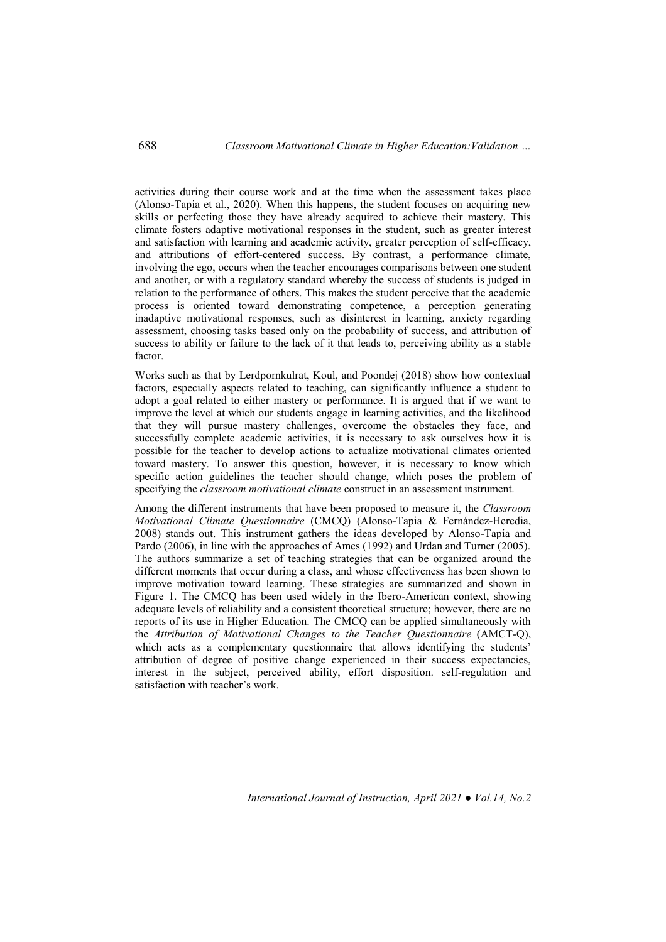activities during their course work and at the time when the assessment takes place (Alonso-Tapia et al., 2020). When this happens, the student focuses on acquiring new skills or perfecting those they have already acquired to achieve their mastery. This climate fosters adaptive motivational responses in the student, such as greater interest and satisfaction with learning and academic activity, greater perception of self-efficacy, and attributions of effort-centered success. By contrast, a performance climate, involving the ego, occurs when the teacher encourages comparisons between one student and another, or with a regulatory standard whereby the success of students is judged in relation to the performance of others. This makes the student perceive that the academic process is oriented toward demonstrating competence, a perception generating inadaptive motivational responses, such as disinterest in learning, anxiety regarding assessment, choosing tasks based only on the probability of success, and attribution of success to ability or failure to the lack of it that leads to, perceiving ability as a stable factor.

Works such as that by Lerdpornkulrat, Koul, and Poondej (2018) show how contextual factors, especially aspects related to teaching, can significantly influence a student to adopt a goal related to either mastery or performance. It is argued that if we want to improve the level at which our students engage in learning activities, and the likelihood that they will pursue mastery challenges, overcome the obstacles they face, and successfully complete academic activities, it is necessary to ask ourselves how it is possible for the teacher to develop actions to actualize motivational climates oriented toward mastery. To answer this question, however, it is necessary to know which specific action guidelines the teacher should change, which poses the problem of specifying the *classroom motivational climate* construct in an assessment instrument.

Among the different instruments that have been proposed to measure it, the *Classroom Motivational Climate Questionnaire* (CMCQ) (Alonso-Tapia & Fernández-Heredia, 2008) stands out. This instrument gathers the ideas developed by Alonso-Tapia and Pardo (2006), in line with the approaches of Ames (1992) and Urdan and Turner (2005). The authors summarize a set of teaching strategies that can be organized around the different moments that occur during a class, and whose effectiveness has been shown to improve motivation toward learning. These strategies are summarized and shown in Figure 1. The CMCQ has been used widely in the Ibero-American context, showing adequate levels of reliability and a consistent theoretical structure; however, there are no reports of its use in Higher Education. The CMCQ can be applied simultaneously with the *Attribution of Motivational Changes to the Teacher Questionnaire* (AMCT-Q), which acts as a complementary questionnaire that allows identifying the students' attribution of degree of positive change experienced in their success expectancies, interest in the subject, perceived ability, effort disposition. self-regulation and satisfaction with teacher's work.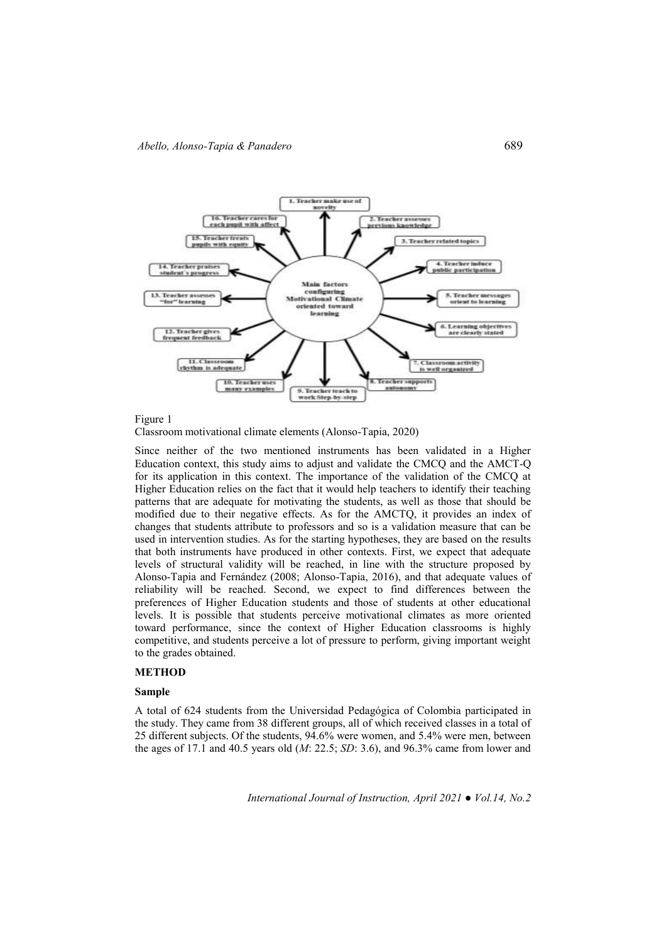



Classroom motivational climate elements (Alonso-Tapia, 2020)

Since neither of the two mentioned instruments has been validated in a Higher Education context, this study aims to adjust and validate the CMCQ and the AMCT-Q for its application in this context. The importance of the validation of the CMCQ at Higher Education relies on the fact that it would help teachers to identify their teaching patterns that are adequate for motivating the students, as well as those that should be modified due to their negative effects. As for the AMCTQ, it provides an index of changes that students attribute to professors and so is a validation measure that can be used in intervention studies. As for the starting hypotheses, they are based on the results that both instruments have produced in other contexts. First, we expect that adequate levels of structural validity will be reached, in line with the structure proposed by Alonso-Tapia and Fernández (2008; Alonso-Tapia, 2016), and that adequate values of reliability will be reached. Second, we expect to find differences between the preferences of Higher Education students and those of students at other educational levels. It is possible that students perceive motivational climates as more oriented toward performance, since the context of Higher Education classrooms is highly competitive, and students perceive a lot of pressure to perform, giving important weight to the grades obtained.

### **METHOD**

#### **Sample**

A total of 624 students from the Universidad Pedagógica of Colombia participated in the study. They came from 38 different groups, all of which received classes in a total of 25 different subjects. Of the students, 94.6% were women, and 5.4% were men, between the ages of 17.1 and 40.5 years old (*M*: 22.5; *SD*: 3.6), and 96.3% came from lower and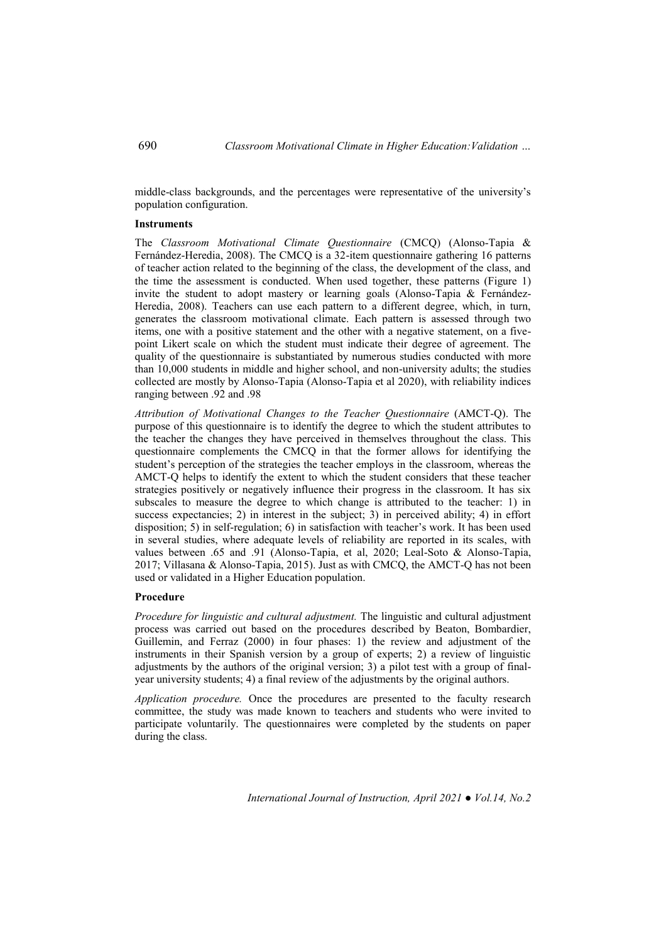middle-class backgrounds, and the percentages were representative of the university's population configuration.

#### **Instruments**

The *Classroom Motivational Climate Questionnaire* (CMCQ) (Alonso-Tapia & Fernández-Heredia, 2008). The CMCQ is a 32-item questionnaire gathering 16 patterns of teacher action related to the beginning of the class, the development of the class, and the time the assessment is conducted. When used together, these patterns (Figure 1) invite the student to adopt mastery or learning goals (Alonso-Tapia & Fernández-Heredia, 2008). Teachers can use each pattern to a different degree, which, in turn, generates the classroom motivational climate. Each pattern is assessed through two items, one with a positive statement and the other with a negative statement, on a fivepoint Likert scale on which the student must indicate their degree of agreement. The quality of the questionnaire is substantiated by numerous studies conducted with more than 10,000 students in middle and higher school, and non-university adults; the studies collected are mostly by Alonso-Tapia (Alonso-Tapia et al 2020), with reliability indices ranging between .92 and .98

*Attribution of Motivational Changes to the Teacher Questionnaire* (AMCT-Q). The purpose of this questionnaire is to identify the degree to which the student attributes to the teacher the changes they have perceived in themselves throughout the class. This questionnaire complements the CMCQ in that the former allows for identifying the student's perception of the strategies the teacher employs in the classroom, whereas the AMCT-Q helps to identify the extent to which the student considers that these teacher strategies positively or negatively influence their progress in the classroom. It has six subscales to measure the degree to which change is attributed to the teacher: 1) in success expectancies; 2) in interest in the subject; 3) in perceived ability; 4) in effort disposition; 5) in self-regulation; 6) in satisfaction with teacher's work. It has been used in several studies, where adequate levels of reliability are reported in its scales, with values between .65 and .91 (Alonso-Tapia, et al, 2020; Leal-Soto & Alonso-Tapia, 2017; Villasana & Alonso-Tapia, 2015). Just as with CMCQ, the AMCT-Q has not been used or validated in a Higher Education population.

#### **Procedure**

*Procedure for linguistic and cultural adjustment.* The linguistic and cultural adjustment process was carried out based on the procedures described by Beaton, Bombardier, Guillemin, and Ferraz (2000) in four phases: 1) the review and adjustment of the instruments in their Spanish version by a group of experts; 2) a review of linguistic adjustments by the authors of the original version; 3) a pilot test with a group of finalyear university students; 4) a final review of the adjustments by the original authors.

*Application procedure.* Once the procedures are presented to the faculty research committee, the study was made known to teachers and students who were invited to participate voluntarily. The questionnaires were completed by the students on paper during the class.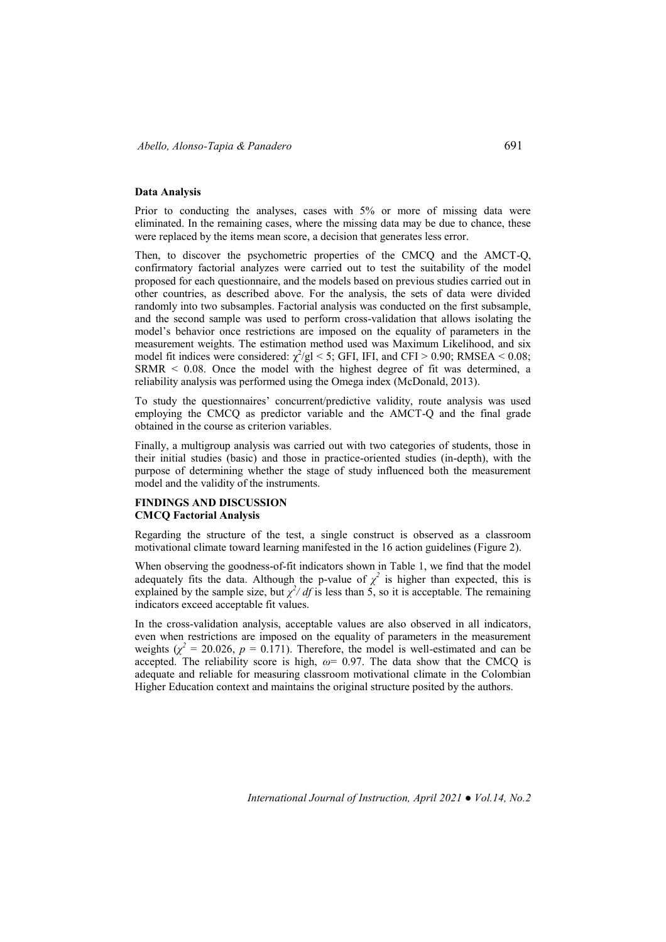#### **Data Analysis**

Prior to conducting the analyses, cases with 5% or more of missing data were eliminated. In the remaining cases, where the missing data may be due to chance, these were replaced by the items mean score, a decision that generates less error.

Then, to discover the psychometric properties of the CMCQ and the AMCT-Q, confirmatory factorial analyzes were carried out to test the suitability of the model proposed for each questionnaire, and the models based on previous studies carried out in other countries, as described above. For the analysis, the sets of data were divided randomly into two subsamples. Factorial analysis was conducted on the first subsample, and the second sample was used to perform cross-validation that allows isolating the model's behavior once restrictions are imposed on the equality of parameters in the measurement weights. The estimation method used was Maximum Likelihood, and six model fit indices were considered:  $\chi^2$ /gl < 5; GFI, IFI, and CFI > 0.90; RMSEA < 0.08; SRMR < 0.08. Once the model with the highest degree of fit was determined, a reliability analysis was performed using the Omega index (McDonald, 2013).

To study the questionnaires' concurrent/predictive validity, route analysis was used employing the CMCQ as predictor variable and the AMCT-Q and the final grade obtained in the course as criterion variables.

Finally, a multigroup analysis was carried out with two categories of students, those in their initial studies (basic) and those in practice-oriented studies (in-depth), with the purpose of determining whether the stage of study influenced both the measurement model and the validity of the instruments.

### **FINDINGS AND DISCUSSION CMCQ Factorial Analysis**

Regarding the structure of the test, a single construct is observed as a classroom motivational climate toward learning manifested in the 16 action guidelines (Figure 2).

When observing the goodness-of-fit indicators shown in Table 1, we find that the model adequately fits the data. Although the p-value of  $\chi^2$  is higher than expected, this is explained by the sample size, but  $\chi^2/df$  is less than 5, so it is acceptable. The remaining indicators exceed acceptable fit values.

In the cross-validation analysis, acceptable values are also observed in all indicators, even when restrictions are imposed on the equality of parameters in the measurement weights ( $\chi^2$  = 20.026,  $p$  = 0.171). Therefore, the model is well-estimated and can be accepted. The reliability score is high,  $\omega$ = 0.97. The data show that the CMCQ is adequate and reliable for measuring classroom motivational climate in the Colombian Higher Education context and maintains the original structure posited by the authors.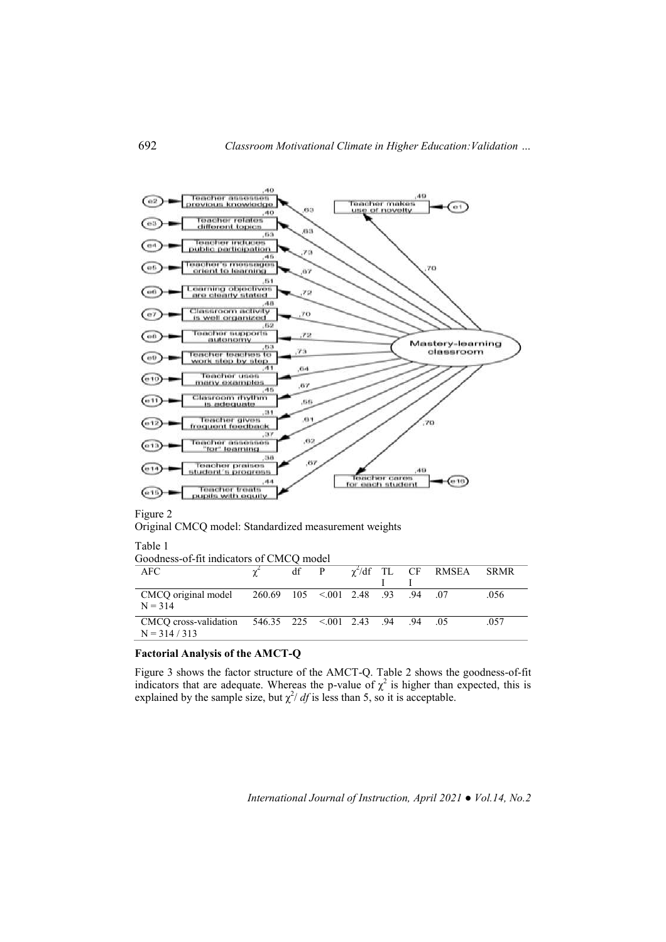

Original CMCQ model: Standardized measurement weights

Table 1

| Goodness-of-fit indicators of CMCQ model                                   |  |              |  |  |  |  |                            |             |  |
|----------------------------------------------------------------------------|--|--------------|--|--|--|--|----------------------------|-------------|--|
| <b>AFC</b>                                                                 |  | $df \quad P$ |  |  |  |  | $\gamma^2$ /df TL CF RMSEA | <b>SRMR</b> |  |
|                                                                            |  |              |  |  |  |  |                            |             |  |
| 07. CMCO original model 260.69 105 < 001 2.48 .93 .94 .07<br>$N = 314$     |  |              |  |  |  |  |                            | .056        |  |
| CMCQ cross-validation 546.35 225 < 001 2.43 .94 .94 .05<br>$N = 314 / 313$ |  |              |  |  |  |  |                            | .057        |  |

## **Factorial Analysis of the AMCT-Q**

Figure 3 shows the factor structure of the AMCT-Q. Table 2 shows the goodness-of-fit indicators that are adequate. Whereas the p-value of  $\chi^2$  is higher than expected, this is explained by the sample size, but  $\chi^2/df$  is less than 5, so it is acceptable.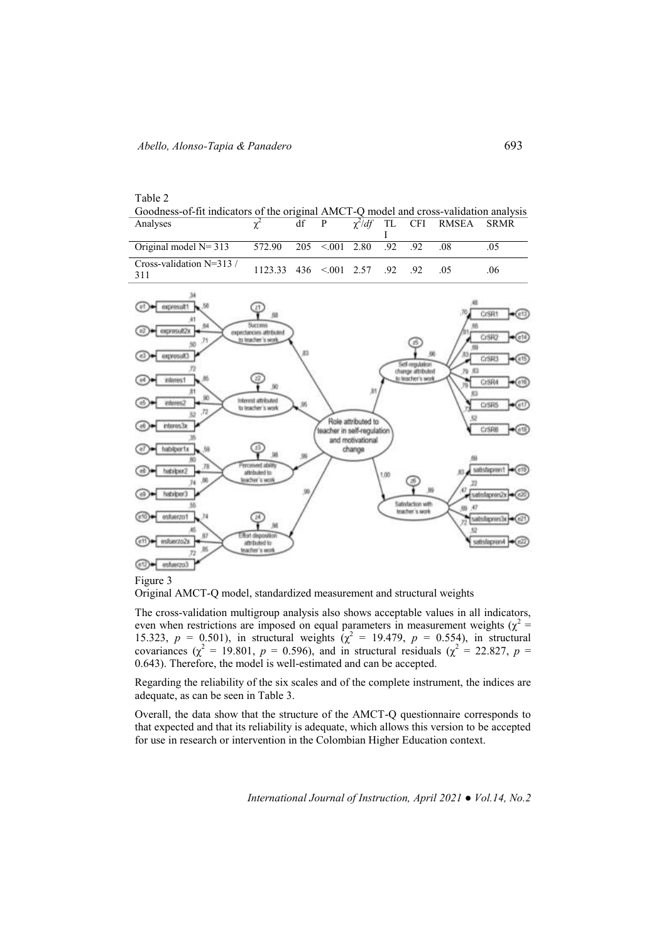| Table 2                                                                               |  |  |  |                               |  |
|---------------------------------------------------------------------------------------|--|--|--|-------------------------------|--|
| Goodness-of-fit indicators of the original AMCT-Q model and cross-validation analysis |  |  |  |                               |  |
| Analyses                                                                              |  |  |  | $\sqrt{d}f$ TI CEI RMSEA SRMR |  |

| Analyses                                          |                                  | df |  |  | $\gamma^2/df$ TL CFI RMSEA SRMR |     |  |
|---------------------------------------------------|----------------------------------|----|--|--|---------------------------------|-----|--|
| Original model N= 313 572.90 205 < 001 2.80 92 92 |                                  |    |  |  |                                 |     |  |
| Cross-validation $N=313/$<br>311                  | $1123.33$ 436 < 001 2.57 .92 .92 |    |  |  |                                 | .06 |  |



#### Figure 3

Original AMCT-Q model, standardized measurement and structural weights

The cross-validation multigroup analysis also shows acceptable values in all indicators, even when restrictions are imposed on equal parameters in measurement weights ( $\chi^2$  = 15.323,  $p = 0.501$ ), in structural weights  $(\chi^2 = 19.479, p = 0.554)$ , in structural covariances ( $\chi^2 = 19.801$ ,  $p = 0.596$ ), and in structural residuals ( $\chi^2 = 22.827$ ,  $p =$ 0.643). Therefore, the model is well-estimated and can be accepted.

Regarding the reliability of the six scales and of the complete instrument, the indices are adequate, as can be seen in Table 3.

Overall, the data show that the structure of the AMCT-Q questionnaire corresponds to that expected and that its reliability is adequate, which allows this version to be accepted for use in research or intervention in the Colombian Higher Education context.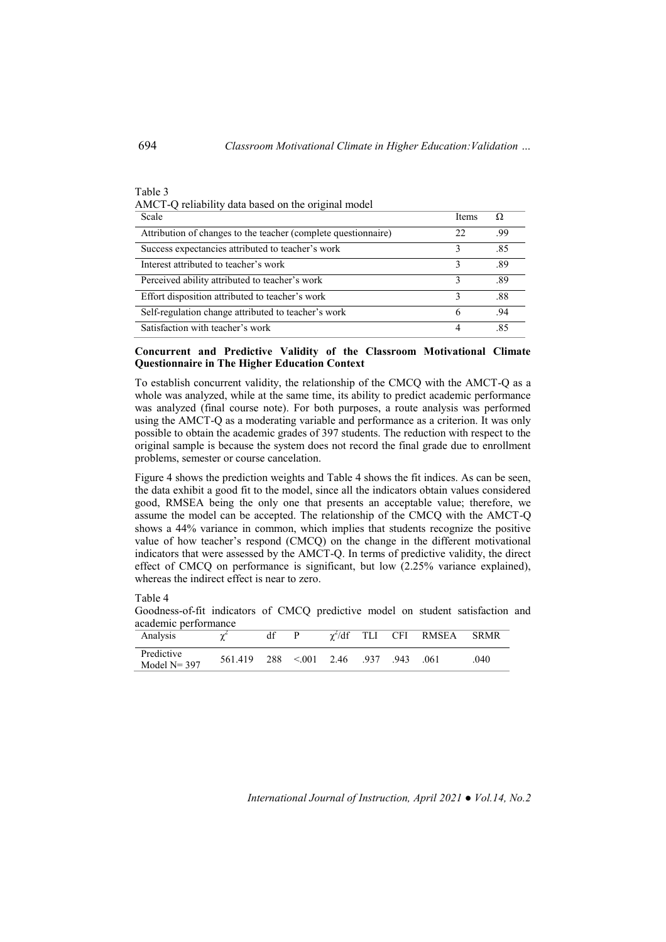# AMCT-Q reliability data based on the original model Scale Items  $\Omega$ Attribution of changes to the teacher (complete questionnaire) 22 .99 Success expectancies attributed to teacher's work 3 .85 Interest attributed to teacher's work 3 .89 Perceived ability attributed to teacher's work 3 .89 Effort disposition attributed to teacher's work 3 .88 Self-regulation change attributed to teacher's work 6 .94 Satisfaction with teacher's work 4 .85

### **Concurrent and Predictive Validity of the Classroom Motivational Climate Questionnaire in The Higher Education Context**

To establish concurrent validity, the relationship of the CMCQ with the AMCT-Q as a whole was analyzed, while at the same time, its ability to predict academic performance was analyzed (final course note). For both purposes, a route analysis was performed using the AMCT-Q as a moderating variable and performance as a criterion. It was only possible to obtain the academic grades of 397 students. The reduction with respect to the original sample is because the system does not record the final grade due to enrollment problems, semester or course cancelation.

Figure 4 shows the prediction weights and Table 4 shows the fit indices. As can be seen, the data exhibit a good fit to the model, since all the indicators obtain values considered good, RMSEA being the only one that presents an acceptable value; therefore, we assume the model can be accepted. The relationship of the CMCQ with the AMCT-Q shows a 44% variance in common, which implies that students recognize the positive value of how teacher's respond (CMCQ) on the change in the different motivational indicators that were assessed by the AMCT-Q. In terms of predictive validity, the direct effect of CMCQ on performance is significant, but low (2.25% variance explained), whereas the indirect effect is near to zero.

Table 4

Goodness-of-fit indicators of CMCQ predictive model on student satisfaction and academic performance

| Analysis                      |         |     | D     | $\chi^2$ /df TLI |      |      | CFI RMSEA | <b>SRMR</b> |
|-------------------------------|---------|-----|-------|------------------|------|------|-----------|-------------|
| Predictive<br>Model $N = 397$ | 561.419 | 288 | < 001 | 2.46             | .937 | .943 | -061      | 040         |

*International Journal of Instruction, April 2021 ● Vol.14, No.2*

Table 3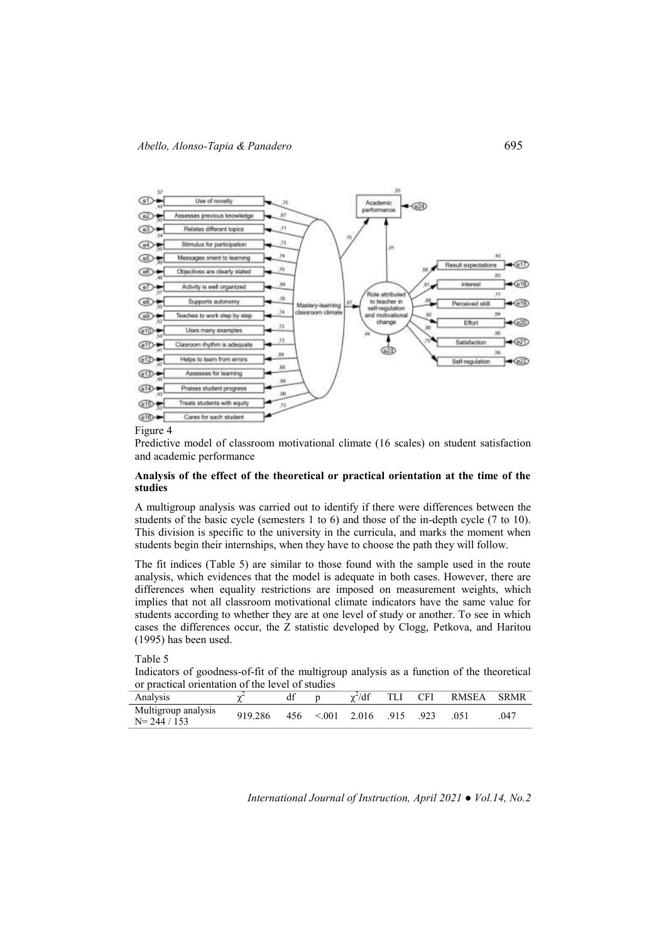

Figure 4

Predictive model of classroom motivational climate (16 scales) on student satisfaction and academic performance

## **Analysis of the effect of the theoretical or practical orientation at the time of the studies**

A multigroup analysis was carried out to identify if there were differences between the students of the basic cycle (semesters 1 to 6) and those of the in-depth cycle (7 to 10). This division is specific to the university in the curricula, and marks the moment when students begin their internships, when they have to choose the path they will follow.

The fit indices (Table 5) are similar to those found with the sample used in the route analysis, which evidences that the model is adequate in both cases. However, there are differences when equality restrictions are imposed on measurement weights, which implies that not all classroom motivational climate indicators have the same value for students according to whether they are at one level of study or another. To see in which cases the differences occur, the Z statistic developed by Clogg, Petkova, and Haritou (1995) has been used.

Table 5

Indicators of goodness-of-fit of the multigroup analysis as a function of the theoretical or practical orientation of the level of studies

| Analysis                               |         | df  |        | $\gamma^2/df$ |      | <b>CFI</b> | RMSEA | <b>SRMR</b> |
|----------------------------------------|---------|-----|--------|---------------|------|------------|-------|-------------|
| Multigroup analysis<br>$N = 244 / 153$ | 919.286 | 456 | < 0.01 | 2.016         | .915 | .923       | .051  | .047        |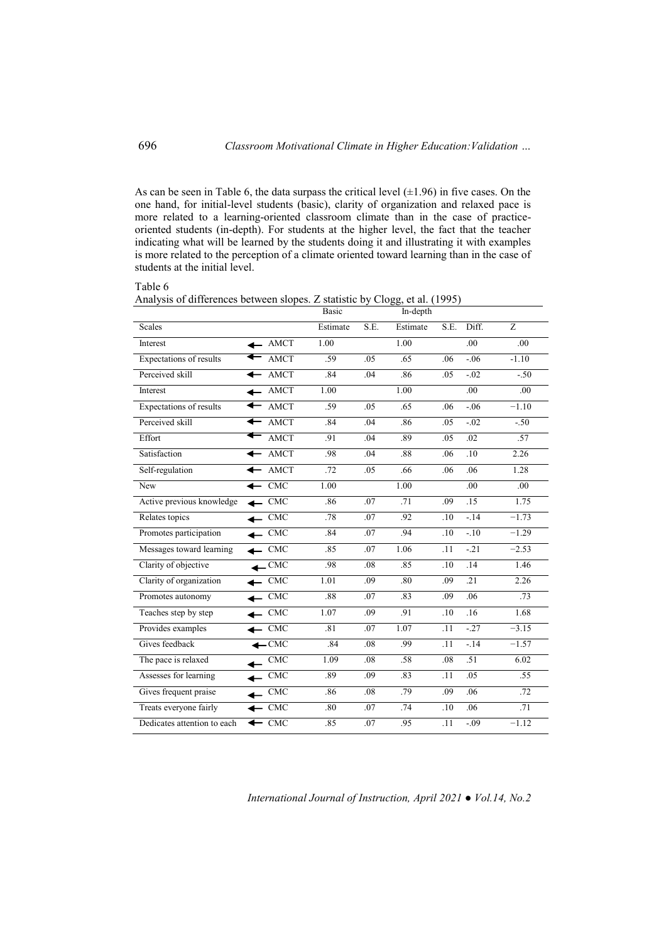As can be seen in Table 6, the data surpass the critical level  $(\pm 1.96)$  in five cases. On the one hand, for initial-level students (basic), clarity of organization and relaxed pace is more related to a learning-oriented classroom climate than in the case of practiceoriented students (in-depth). For students at the higher level, the fact that the teacher indicating what will be learned by the students doing it and illustrating it with examples is more related to the perception of a climate oriented toward learning than in the case of students at the initial level.

Table 6

Analysis of differences between slopes. Z statistic by Clogg, et al. (1995)

|                                |                             | <b>Basic</b> |      | In-depth |                  |                  |                |
|--------------------------------|-----------------------------|--------------|------|----------|------------------|------------------|----------------|
| <b>Scales</b>                  |                             | Estimate     | S.E. | Estimate | S.E.             | Diff.            | $\overline{Z}$ |
| Interest                       | $\leftarrow$ AMCT           | 1.00         |      | 1.00     |                  | $\overline{.00}$ | .00            |
| <b>Expectations of results</b> | <b>AMCT</b>                 | .59          | .05  | .65      | .06              | $-0.06$          | $-1.10$        |
| Perceived skill                | <b>AMCT</b><br>$\leftarrow$ | .84          | .04  | .86      | .05              | $-0.02$          | $-.50$         |
| Interest                       | <b>AMCT</b>                 | 1.00         |      | 1.00     |                  | $\overline{.00}$ | .00            |
| Expectations of results        | <b>AMCT</b>                 | .59          | .05  | .65      | .06              | $-0.06$          | $-1.10$        |
| Perceived skill                | <b>AMCT</b>                 | .84          | .04  | .86      | .05              | $-.02$           | $-.50$         |
| Effort                         | <b>AMCT</b>                 | .91          | .04  | .89      | .05              | .02              | .57            |
| Satisfaction                   | $\leftarrow$ AMCT           | .98          | .04  | .88      | .06              | $\overline{.10}$ | 2.26           |
| Self-regulation                | AMCT                        | .72          | .05  | .66      | .06              | .06              | 1.28           |
| New                            | CMC                         | 1.00         |      | 1.00     |                  | .00              | .00            |
| Active previous knowledge      | <b>CMC</b>                  | .86          | .07  | .71      | .09              | $\overline{.15}$ | 1.75           |
| Relates topics                 | <b>CMC</b>                  | .78          | .07  | .92      | .10              | $-14$            | $-1.73$        |
| Promotes participation         | $-$ CMC                     | .84          | .07  | .94      | .10              | $-.10$           | $-1.29$        |
| Messages toward learning       | CMC                         | .85          | .07  | 1.06     | $\overline{.11}$ | $-21$            | $-2.53$        |
| Clarity of objective           | <b>CMC</b>                  | .98          | .08  | .85      | .10              | $\overline{14}$  | 1.46           |
| Clarity of organization        | <b>CMC</b>                  | 1.01         | .09  | .80      | .09              | $\overline{.21}$ | 2.26           |
| Promotes autonomy              | <b>CMC</b>                  | .88          | .07  | .83      | .09              | .06              | .73            |
| Teaches step by step           | CMC                         | 1.07         | .09  | .91      | .10              | .16              | 1.68           |
| Provides examples              | <b>CMC</b>                  | .81          | .07  | 1.07     | .11              | $-27$            | $-3.15$        |
| Gives feedback                 | $-CMC$                      | .84          | .08  | .99      | .11              | $-14$            | $-1.57$        |
| The pace is relaxed            | CMC                         | 1.09         | .08  | .58      | .08              | .51              | 6.02           |
| Assesses for learning          | <b>CMC</b>                  | .89          | .09  | .83      | .11              | .05              | .55            |
| Gives frequent praise          | CMC                         | .86          | .08  | .79      | .09              | .06              | .72            |
| Treats everyone fairly         | <b>CMC</b>                  | .80          | .07  | .74      | .10              | .06              | .71            |
| Dedicates attention to each    | CMC<br>↞                    | .85          | .07  | .95      | .11              | $-.09$           | $-1.12$        |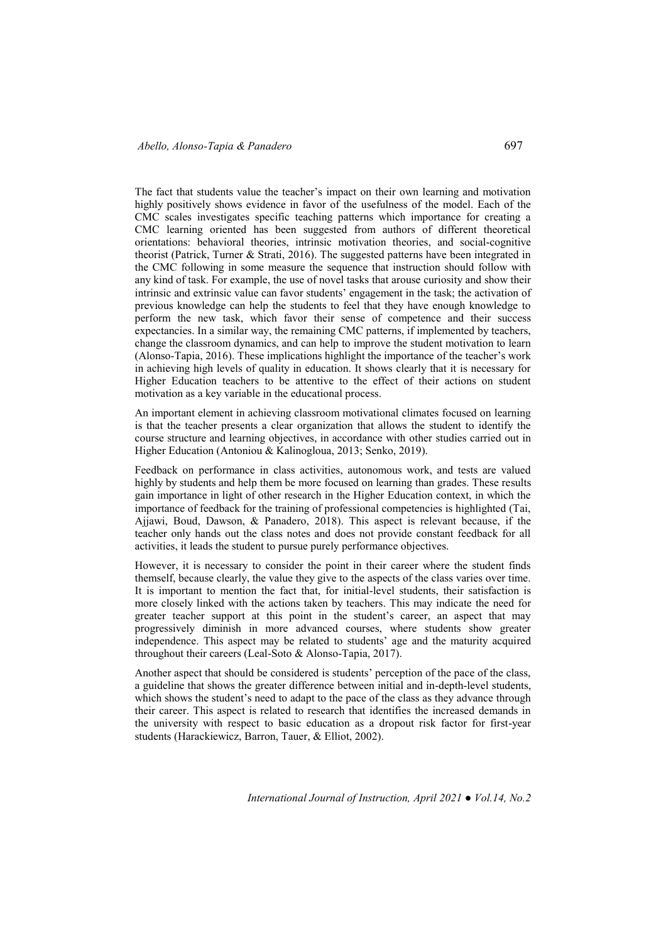The fact that students value the teacher's impact on their own learning and motivation highly positively shows evidence in favor of the usefulness of the model. Each of the CMC scales investigates specific teaching patterns which importance for creating a CMC learning oriented has been suggested from authors of different theoretical orientations: behavioral theories, intrinsic motivation theories, and social-cognitive theorist (Patrick, Turner & Strati, 2016). The suggested patterns have been integrated in the CMC following in some measure the sequence that instruction should follow with any kind of task. For example, the use of novel tasks that arouse curiosity and show their intrinsic and extrinsic value can favor students' engagement in the task; the activation of previous knowledge can help the students to feel that they have enough knowledge to perform the new task, which favor their sense of competence and their success expectancies. In a similar way, the remaining CMC patterns, if implemented by teachers, change the classroom dynamics, and can help to improve the student motivation to learn (Alonso-Tapia, 2016). These implications highlight the importance of the teacher's work in achieving high levels of quality in education. It shows clearly that it is necessary for Higher Education teachers to be attentive to the effect of their actions on student motivation as a key variable in the educational process.

An important element in achieving classroom motivational climates focused on learning is that the teacher presents a clear organization that allows the student to identify the course structure and learning objectives, in accordance with other studies carried out in Higher Education (Antoniou & Kalinogloua, 2013; Senko, 2019).

Feedback on performance in class activities, autonomous work, and tests are valued highly by students and help them be more focused on learning than grades. These results gain importance in light of other research in the Higher Education context, in which the importance of feedback for the training of professional competencies is highlighted (Tai, Ajjawi, Boud, Dawson, & Panadero, 2018). This aspect is relevant because, if the teacher only hands out the class notes and does not provide constant feedback for all activities, it leads the student to pursue purely performance objectives.

However, it is necessary to consider the point in their career where the student finds themself, because clearly, the value they give to the aspects of the class varies over time. It is important to mention the fact that, for initial-level students, their satisfaction is more closely linked with the actions taken by teachers. This may indicate the need for greater teacher support at this point in the student's career, an aspect that may progressively diminish in more advanced courses, where students show greater independence. This aspect may be related to students' age and the maturity acquired throughout their careers (Leal-Soto & Alonso-Tapia, 2017).

Another aspect that should be considered is students' perception of the pace of the class, a guideline that shows the greater difference between initial and in-depth-level students, which shows the student's need to adapt to the pace of the class as they advance through their career. This aspect is related to research that identifies the increased demands in the university with respect to basic education as a dropout risk factor for first-year students (Harackiewicz, Barron, Tauer, & Elliot, 2002).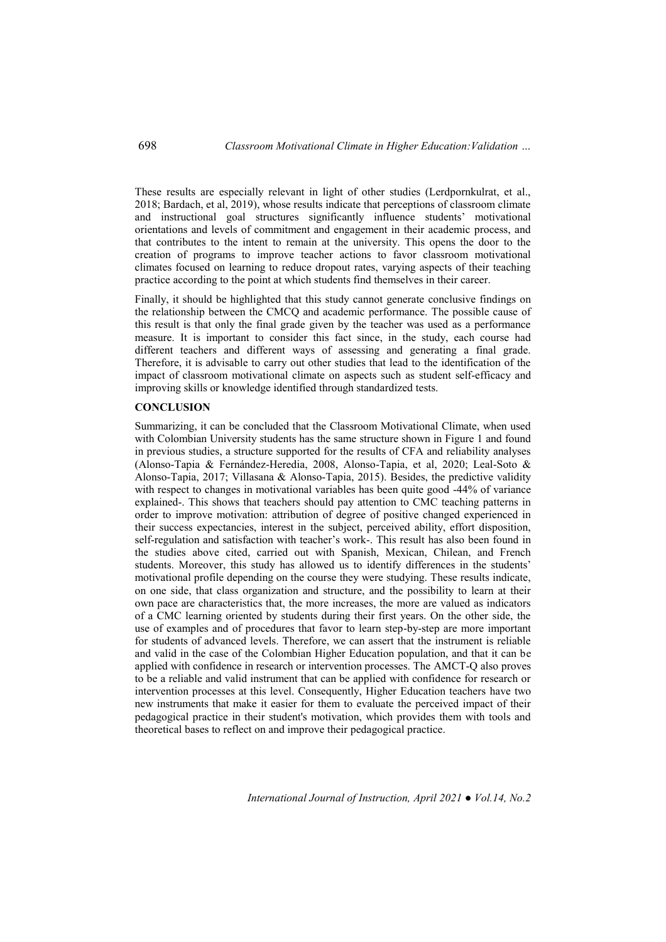These results are especially relevant in light of other studies (Lerdpornkulrat, et al., 2018; Bardach, et al, 2019), whose results indicate that perceptions of classroom climate and instructional goal structures significantly influence students' motivational orientations and levels of commitment and engagement in their academic process, and that contributes to the intent to remain at the university. This opens the door to the creation of programs to improve teacher actions to favor classroom motivational climates focused on learning to reduce dropout rates, varying aspects of their teaching practice according to the point at which students find themselves in their career.

Finally, it should be highlighted that this study cannot generate conclusive findings on the relationship between the CMCQ and academic performance. The possible cause of this result is that only the final grade given by the teacher was used as a performance measure. It is important to consider this fact since, in the study, each course had different teachers and different ways of assessing and generating a final grade. Therefore, it is advisable to carry out other studies that lead to the identification of the impact of classroom motivational climate on aspects such as student self-efficacy and improving skills or knowledge identified through standardized tests.

#### **CONCLUSION**

Summarizing, it can be concluded that the Classroom Motivational Climate, when used with Colombian University students has the same structure shown in Figure 1 and found in previous studies, a structure supported for the results of CFA and reliability analyses (Alonso-Tapia & Fernández-Heredia, 2008, Alonso-Tapia, et al, 2020; Leal-Soto & Alonso-Tapia, 2017; Villasana & Alonso-Tapia, 2015). Besides, the predictive validity with respect to changes in motivational variables has been quite good -44% of variance explained-. This shows that teachers should pay attention to CMC teaching patterns in order to improve motivation: attribution of degree of positive changed experienced in their success expectancies, interest in the subject, perceived ability, effort disposition, self-regulation and satisfaction with teacher's work-. This result has also been found in the studies above cited, carried out with Spanish, Mexican, Chilean, and French students. Moreover, this study has allowed us to identify differences in the students' motivational profile depending on the course they were studying. These results indicate, on one side, that class organization and structure, and the possibility to learn at their own pace are characteristics that, the more increases, the more are valued as indicators of a CMC learning oriented by students during their first years. On the other side, the use of examples and of procedures that favor to learn step-by-step are more important for students of advanced levels. Therefore, we can assert that the instrument is reliable and valid in the case of the Colombian Higher Education population, and that it can be applied with confidence in research or intervention processes. The AMCT-Q also proves to be a reliable and valid instrument that can be applied with confidence for research or intervention processes at this level. Consequently, Higher Education teachers have two new instruments that make it easier for them to evaluate the perceived impact of their pedagogical practice in their student's motivation, which provides them with tools and theoretical bases to reflect on and improve their pedagogical practice.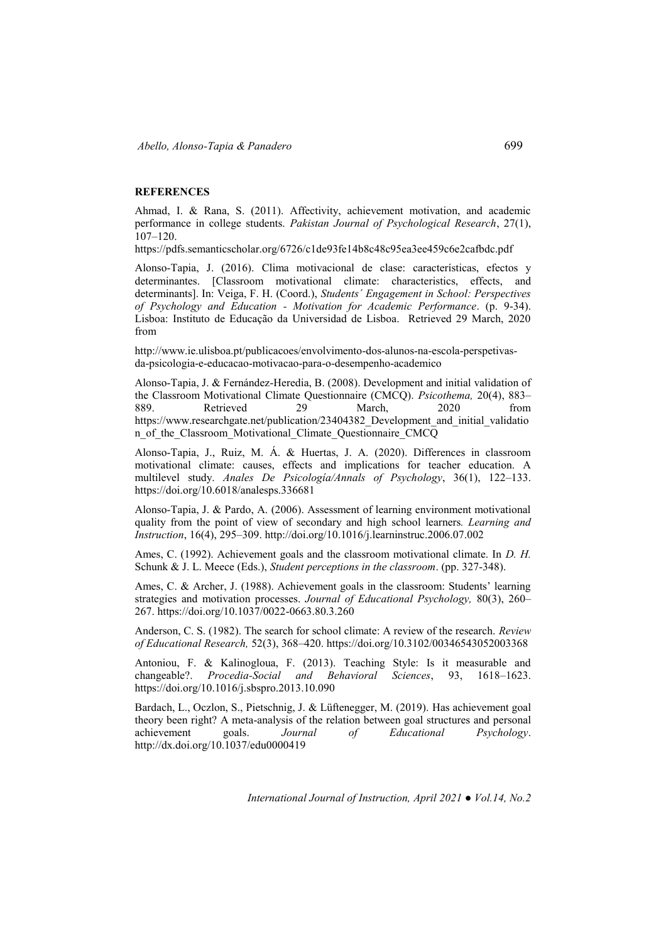### **REFERENCES**

Ahmad, I. & Rana, S. (2011). Affectivity, achievement motivation, and academic performance in college students. *Pakistan Journal of Psychological Research*, 27(1), 107–120.

<https://pdfs.semanticscholar.org/6726/c1de93fe14b8c48c95ea3ee459c6e2cafbdc.pdf>

Alonso-Tapia, J. (2016). Clima motivacional de clase: características, efectos y determinantes. [Classroom motivational climate: characteristics, effects, and determinants]. In: Veiga, F. H. (Coord.), *Students´ Engagement in School: Perspectives of Psychology and Education - Motivation for Academic Performance*. (p. 9-34). Lisboa: Instituto de Educação da Universidad de Lisboa. Retrieved 29 March, 2020 from

[http://www.ie.ulisboa.pt/publicacoes/envolvimento-dos-alunos-na-escola-perspetivas](http://www.ie.ulisboa.pt/publicacoes/envolvimento-dos-alunos-na-escola-perspetivas-da-psicologia-e-educacao-motivacao-para-o-desempenho-academico)[da-psicologia-e-educacao-motivacao-para-o-desempenho-academico](http://www.ie.ulisboa.pt/publicacoes/envolvimento-dos-alunos-na-escola-perspetivas-da-psicologia-e-educacao-motivacao-para-o-desempenho-academico) 

Alonso-Tapia, J. & Fernández-Heredia, B. (2008). Development and initial validation of the Classroom Motivational Climate Questionnaire (CMCQ). *Psicothema,* 20(4), 883– 889. Retrieved 29 March, 2020 from [https://www.researchgate.net/publication/23404382\\_Development\\_and\\_initial\\_validatio](https://www.researchgate.net/publication/23404382_Development_and_initial_validation_of_the_Classroom_Motivational_Climate_Questionnaire_CMCQ) [n\\_of\\_the\\_Classroom\\_Motivational\\_Climate\\_Questionnaire\\_CMCQ](https://www.researchgate.net/publication/23404382_Development_and_initial_validation_of_the_Classroom_Motivational_Climate_Questionnaire_CMCQ) 

Alonso-Tapia, J., Ruiz, M. Á. & Huertas, J. A. (2020). Differences in classroom motivational climate: causes, effects and implications for teacher education. A multilevel study. *Anales De Psicología/Annals of Psychology*, 36(1), 122–133. <https://doi.org/10.6018/analesps.336681>

Alonso-Tapia, J. & Pardo, A. (2006). Assessment of learning environment motivational quality from the point of view of secondary and high school learners*. Learning and Instruction*, 16(4), 295–309[. http://doi.org/10.1016/j.learninstruc.2006.07.002](http://dx.doi.org/10.1016/j.learninstruc.2006.07.002) 

Ames, C. (1992). Achievement goals and the classroom motivational climate. In *D. H.*  Schunk & J. L. Meece (Eds.), *Student perceptions in the classroom*. (pp. 327-348).

Ames, C. & Archer, J. (1988). Achievement goals in the classroom: Students' learning strategies and motivation processes. *Journal of Educational Psychology,* 80(3), 260– 267[. https://doi.org/10.1037/0022-0663.80.3.260](https://psycnet.apa.org/doi/10.1037/0022-0663.80.3.260) 

Anderson, C. S. (1982). The search for school climate: A review of the research. *Review of Educational Research,* 52(3), 368–420. [https://doi.org/10.3102/00346543052003368](https://doi.org/10.3102%2F00346543052003368) 

Antoniou, F. & Kalinogloua, F. (2013). Teaching Style: Is it measurable and changeable?. *Procedia-Social and Behavioral Sciences*, 93, 1618–1623. <https://doi.org/10.1016/j.sbspro.2013.10.090>

Bardach, L., Oczlon, S., Pietschnig, J. & Lüftenegger, M. (2019). Has achievement goal theory been right? A meta-analysis of the relation between goal structures and personal achievement goals. *Journal of Educational Psychology*. <http://dx.doi.org/10.1037/edu0000419>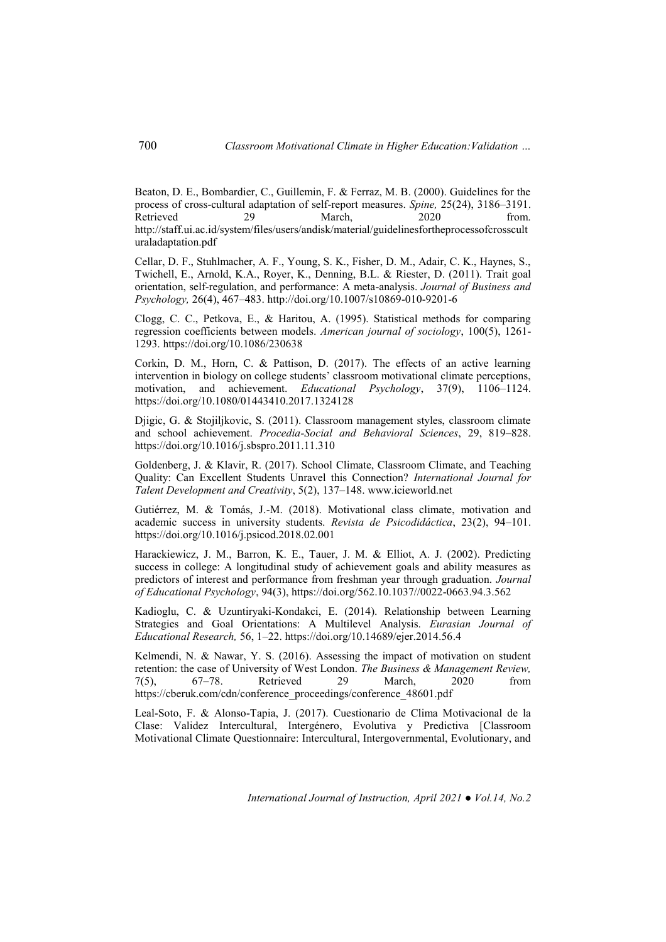Beaton, D. E., Bombardier, C., Guillemin, F. & Ferraz, M. B. (2000). Guidelines for the process of cross-cultural adaptation of self-report measures. *Spine,* 25(24), 3186–3191. Retrieved 29 March, 2020 from. [http://staff.ui.ac.id/system/files/users/andisk/material/guidelinesfortheprocessofcrosscult](http://staff.ui.ac.id/system/files/users/andisk/material/guidelinesfortheprocessofcrossculturaladaptation.pdf) [uraladaptation.pdf](http://staff.ui.ac.id/system/files/users/andisk/material/guidelinesfortheprocessofcrossculturaladaptation.pdf) 

Cellar, D. F., Stuhlmacher, A. F., Young, S. K., Fisher, D. M., Adair, C. K., Haynes, S., Twichell, E., Arnold, K.A., Royer, K., Denning, B.L. & Riester, D. (2011). Trait goal orientation, self-regulation, and performance: A meta-analysis. *Journal of Business and Psychology,* 26(4), 467–483. http://doi.org/10.1007/s10869-010-9201-6

Clogg, C. C., Petkova, E., & Haritou, A. (1995). Statistical methods for comparing regression coefficients between models. *American journal of sociology*, 100(5), 1261- 1293[. https://doi.org/10.1086/230638](https://doi.org/10.1086/230638) 

Corkin, D. M., Horn, C. & Pattison, D. (2017). The effects of an active learning intervention in biology on college students' classroom motivational climate perceptions, motivation, and achievement. *Educational Psychology*, 37(9), 1106–1124. <https://doi.org/10.1080/01443410.2017.1324128>

Djigic, G. & Stojiljkovic, S. (2011). Classroom management styles, classroom climate and school achievement. *Procedia-Social and Behavioral Sciences*, 29, 819–828. https://doi.org/10.1016/j.sbspro.2011.11.310

Goldenberg, J. & Klavir, R. (2017). School Climate, Classroom Climate, and Teaching Quality: Can Excellent Students Unravel this Connection? *International Journal for Talent Development and Creativity*, 5(2), 137–148. www.icieworld.net

Gutiérrez, M. & Tomás, J.-M. (2018). Motivational class climate, motivation and academic success in university students. *Revista de Psicodidáctica*, 23(2), 94–101. <https://doi.org/10.1016/j.psicod.2018.02.001>

Harackiewicz, J. M., Barron, K. E., Tauer, J. M. & Elliot, A. J. (2002). Predicting success in college: A longitudinal study of achievement goals and ability measures as predictors of interest and performance from freshman year through graduation. *Journal of Educational Psychology*, 94(3), https://doi.org/562.10.1037//0022-0663.94.3.562

Kadioglu, C. & Uzuntiryaki-Kondakci, E. (2014). Relationship between Learning Strategies and Goal Orientations: A Multilevel Analysis. *Eurasian Journal of Educational Research,* 56, 1–22. https://doi.org/10.14689/ejer.2014.56.4

Kelmendi, N. & Nawar, Y. S. (2016). Assessing the impact of motivation on student retention: the case of University of West London. *The Business & Management Review,*<br>  $7(5)$ ,  $67-78$ . Retrieved 29 March, 2020 from 7(5), 67–78. Retrieved 29 March, 2020 from https://cberuk.com/cdn/conference\_proceedings/conference\_48601.pdf

Leal-Soto, F. & Alonso-Tapia, J. (2017). Cuestionario de Clima Motivacional de la Clase: Validez Intercultural, Intergénero, Evolutiva y Predictiva [Classroom Motivational Climate Questionnaire: Intercultural, Intergovernmental, Evolutionary, and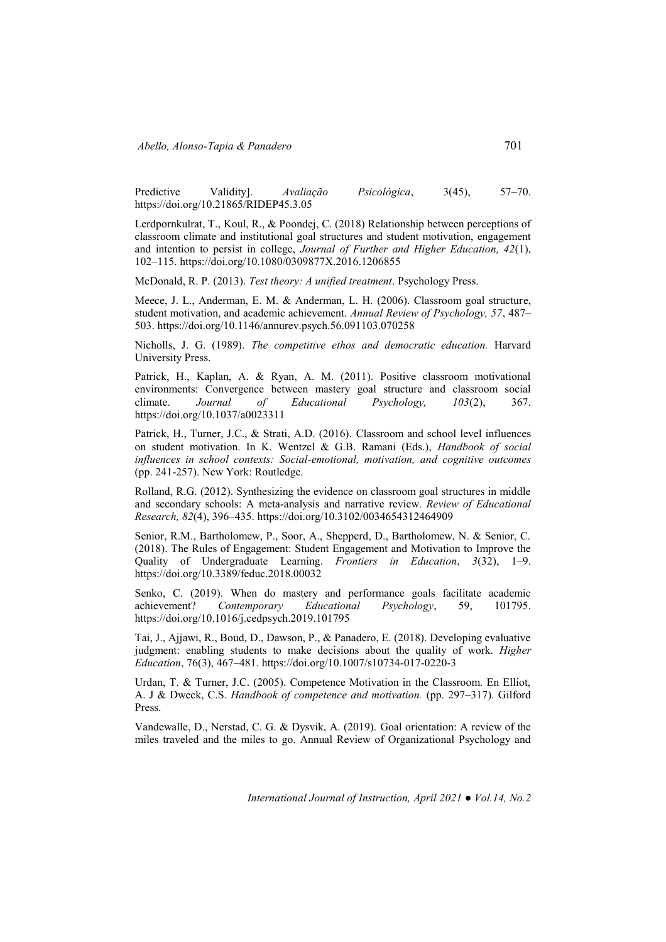Predictive Validity]. *Avaliação Psicológica*, 3(45), 57–70. https://doi.org/10.21865/RIDEP45.3.05

Lerdpornkulrat, T., Koul, R., & Poondej, C. (2018) Relationship between perceptions of classroom climate and institutional goal structures and student motivation, engagement and intention to persist in college, *Journal of Further and Higher Education, 42*(1), 102–115.<https://doi.org/10.1080/0309877X.2016.1206855>

McDonald, R. P. (2013). *Test theory: A unified treatment*. Psychology Press.

Meece, J. L., Anderman, E. M. & Anderman, L. H. (2006). Classroom goal structure, student motivation, and academic achievement. *Annual Review of Psychology, 57*, 487– 503. https://doi.org/10.1146/annurev.psych.56.091103.070258

Nicholls, J. G. (1989). *The competitive ethos and democratic education.* Harvard University Press.

Patrick, H., Kaplan, A. & Ryan, A. M. (2011). Positive classroom motivational environments: Convergence between mastery goal structure and classroom social climate. *Journal of Educational Psychology, 103*(2), 367. <https://doi.org/10.1037/a0023311>

Patrick, H., Turner, J.C., & Strati, A.D. (2016). Classroom and school level influences on student motivation. In K. Wentzel & G.B. Ramani (Eds.), *Handbook of social influences in school contexts: Social-emotional, motivation, and cognitive outcomes*  (pp. 241-257). New York: Routledge.

Rolland, R.G. (2012). Synthesizing the evidence on classroom goal structures in middle and secondary schools: A meta-analysis and narrative review. *Review of Educational Research, 82*(4), 396–435. https://doi.org/10.3102/0034654312464909

Senior, R.M., Bartholomew, P., Soor, A., Shepperd, D., Bartholomew, N. & Senior, C. (2018). The Rules of Engagement: Student Engagement and Motivation to Improve the Quality of Undergraduate Learning. *Frontiers in Education*, *3*(32), 1–9. <https://doi.org/10.3389/feduc.2018.00032>

Senko, C. (2019). When do mastery and performance goals facilitate academic achievement? *Contemporary Educational Psychology*, 59, 101795. <https://doi.org/10.1016/j.cedpsych.2019.101795>

Tai, J., Ajjawi, R., Boud, D., Dawson, P., & Panadero, E. (2018). Developing evaluative judgment: enabling students to make decisions about the quality of work. *Higher Education*, 76(3), 467–481. https://doi.org/10.1007/s10734-017-0220-3

Urdan, T. & Turner, J.C. (2005). Competence Motivation in the Classroom. En Elliot, A. J & Dweck, C.S. *Handbook of competence and motivation.* (pp. 297–317). Gilford Press.

Vandewalle, D., Nerstad, C. G. & Dysvik, A. (2019). Goal orientation: A review of the miles traveled and the miles to go. Annual Review of Organizational Psychology and